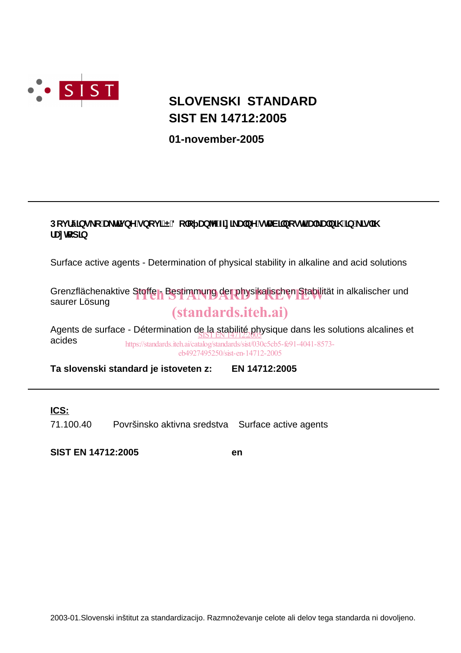

# **SIST EN 14712:2005 SLOVENSKI STANDARD**

**01-november-2005**

### Dcj fý]bg\_c U\_Hj bYgbcj ] E8c c UbY**Znl\_UbYgHV**] bcgH U\_UbJ\ "Jb \_]g ]\ f Un**c**dlb

Surface active agents - Determination of physical stability in alkaline and acid solutions

Grenzflächenaktive Stoffer, Bestimmung der physikalischen Stabilität in alkalischer und<br>saurer Lösung saurer Lösung (standards.iteh.ai)

Agents de surface - Détermination de la stabilité physique dans les solutions alcalines et<br>caides acides https://standards.iteh.ai/catalog/standards/sist/030c5cb5-fe91-4041-8573 eb4927495250/sist-en-14712-2005

**Ta slovenski standard je istoveten z: EN 14712:2005**

### **ICS:**

71.100.40 Površinsko aktivna sredstva Surface active agents

**SIST EN 14712:2005 en**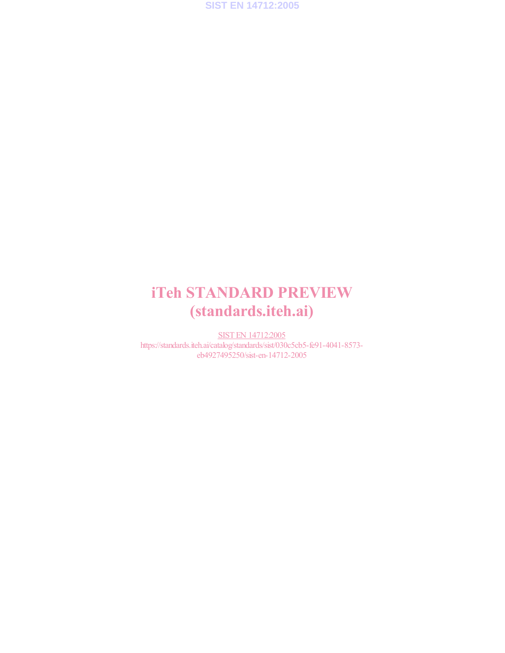

# iTeh STANDARD PREVIEW (standards.iteh.ai)

SIST EN 14712:2005 https://standards.iteh.ai/catalog/standards/sist/030c5cb5-fe91-4041-8573 eb4927495250/sist-en-14712-2005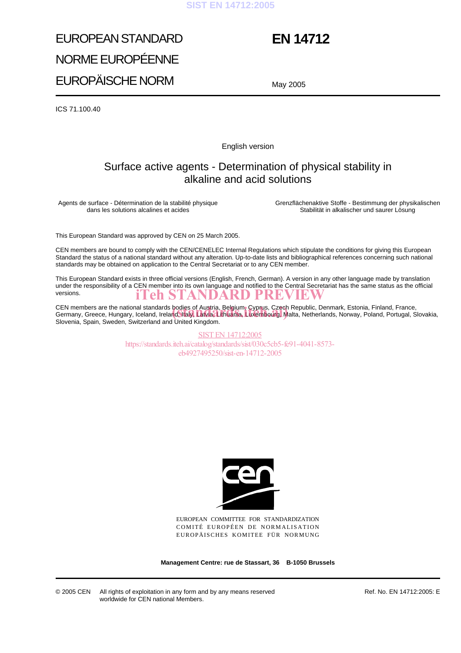### **SIST EN 14712:2005**

# EUROPEAN STANDARD NORME EUROPÉENNE EUROPÄISCHE NORM

## **EN 14712**

May 2005

ICS 71.100.40

English version

## Surface active agents - Determination of physical stability in alkaline and acid solutions

Agents de surface - Détermination de la stabilité physique dans les solutions alcalines et acides

Grenzflächenaktive Stoffe - Bestimmung der physikalischen Stabilität in alkalischer und saurer Lösung

This European Standard was approved by CEN on 25 March 2005.

CEN members are bound to comply with the CEN/CENELEC Internal Regulations which stipulate the conditions for giving this European Standard the status of a national standard without any alteration. Up-to-date lists and bibliographical references concerning such national standards may be obtained on application to the Central Secretariat or to any CEN member.

This European Standard exists in three official versions (English, French, German). A version in any other language made by translation under the responsibility of a CEN member into its own language and notified to the Central Secretariat has the same status as the official versions.<br>
Teh STANDARD PREVIEW versions.

CEN members are the national standards bodies of Austria, Belgium, Cyprus, Czech Republic, Denmark, Estonia, Finland, France, CEN members are the national standards bodies of Austria, Belgium, Cyprus, Czech Republic, Denmark, Estonia, Finland, France,<br>Germany, Greece, Hungary, Iceland, Ireland, Italy, Latvia, Lithuania, Luxembourg, Malta, Netherl Slovenia, Spain, Sweden, Switzerland and United Kingdom.

> SIST EN 14712:2005 https://standards.iteh.ai/catalog/standards/sist/030c5cb5-fe91-4041-8573 eb4927495250/sist-en-14712-2005



EUROPEAN COMMITTEE FOR STANDARDIZATION COMITÉ EUROPÉEN DE NORMALISATION EUROPÄISCHES KOMITEE FÜR NORMUNG

**Management Centre: rue de Stassart, 36 B-1050 Brussels**

© 2005 CEN All rights of exploitation in any form and by any means reserved worldwide for CEN national Members.

Ref. No. EN 14712:2005: E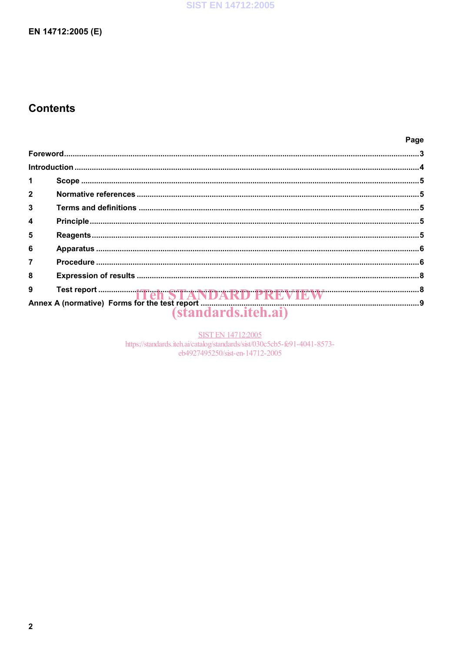## **Contents**

|                  |  | Page |  |  |  |
|------------------|--|------|--|--|--|
|                  |  |      |  |  |  |
|                  |  |      |  |  |  |
| 1                |  |      |  |  |  |
| $\overline{2}$   |  |      |  |  |  |
| $\mathbf{3}$     |  |      |  |  |  |
| $\boldsymbol{4}$ |  |      |  |  |  |
| 5                |  |      |  |  |  |
| 6                |  |      |  |  |  |
| $\overline{7}$   |  |      |  |  |  |
| 8                |  |      |  |  |  |
|                  |  |      |  |  |  |
|                  |  |      |  |  |  |
|                  |  |      |  |  |  |

SIST EN 14712:2005<br>https://standards.iteh.ai/catalog/standards/sist/030c5cb5-fe91-4041-8573eb4927495250/sist-en-14712-2005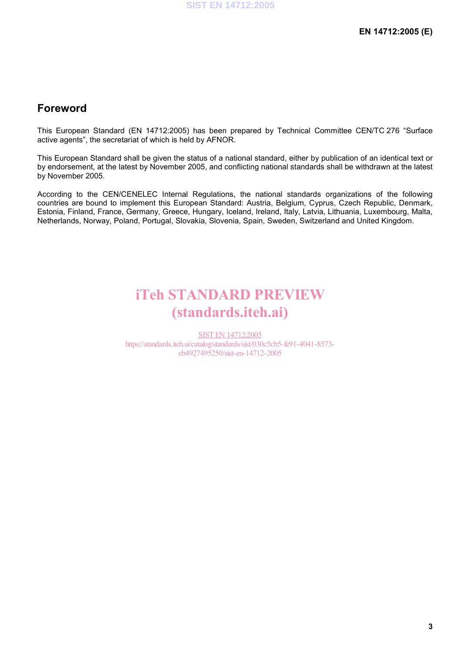## **Foreword**

This European Standard (EN 14712:2005) has been prepared by Technical Committee CEN/TC 276 "Surface active agents", the secretariat of which is held by AFNOR.

This European Standard shall be given the status of a national standard, either by publication of an identical text or by endorsement, at the latest by November 2005, and conflicting national standards shall be withdrawn at the latest by November 2005.

According to the CEN/CENELEC Internal Regulations, the national standards organizations of the following countries are bound to implement this European Standard: Austria, Belgium, Cyprus, Czech Republic, Denmark, Estonia, Finland, France, Germany, Greece, Hungary, Iceland, Ireland, Italy, Latvia, Lithuania, Luxembourg, Malta, Netherlands, Norway, Poland, Portugal, Slovakia, Slovenia, Spain, Sweden, Switzerland and United Kingdom.

# iTeh STANDARD PREVIEW (standards.iteh.ai)

SIST EN 14712:2005 https://standards.iteh.ai/catalog/standards/sist/030c5cb5-fe91-4041-8573 eb4927495250/sist-en-14712-2005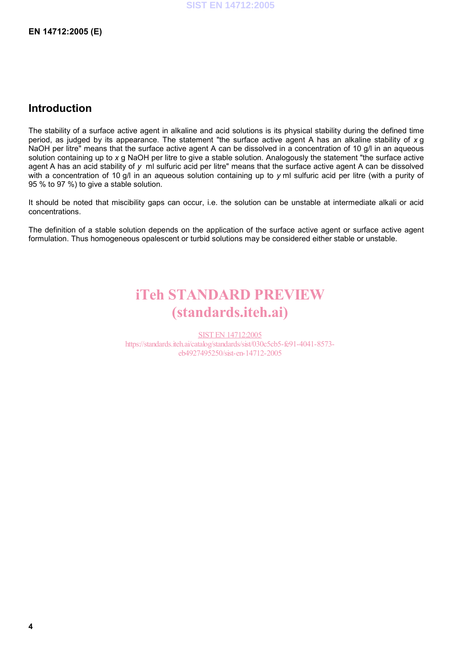## **Introduction**

The stability of a surface active agent in alkaline and acid solutions is its physical stability during the defined time period, as judged by its appearance. The statement "the surface active agent A has an alkaline stability of *x* g NaOH per litre" means that the surface active agent A can be dissolved in a concentration of 10 g/l in an aqueous solution containing up to *x* g NaOH per litre to give a stable solution. Analogously the statement "the surface active agent A has an acid stability of y ml sulfuric acid per litre" means that the surface active agent A can be dissolved with a concentration of 10 g/l in an aqueous solution containing up to *y* ml sulfuric acid per litre (with a purity of 95 % to 97 %) to give a stable solution.

It should be noted that miscibility gaps can occur, i.e. the solution can be unstable at intermediate alkali or acid concentrations.

The definition of a stable solution depends on the application of the surface active agent or surface active agent formulation. Thus homogeneous opalescent or turbid solutions may be considered either stable or unstable.

# iTeh STANDARD PREVIEW (standards.iteh.ai)

SIST EN 14712:2005 https://standards.iteh.ai/catalog/standards/sist/030c5cb5-fe91-4041-8573 eb4927495250/sist-en-14712-2005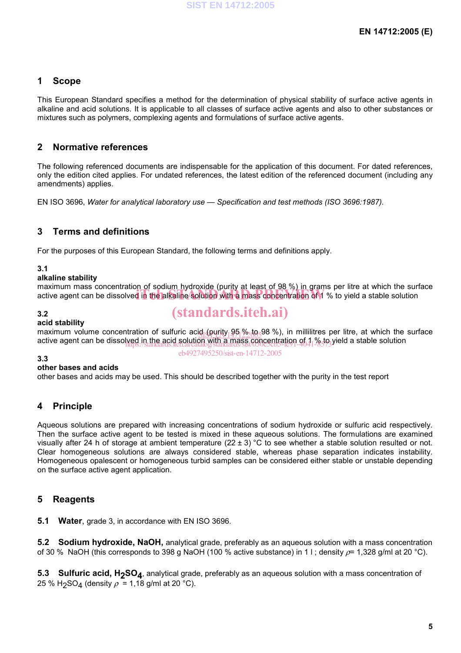### **1 Scope**

This European Standard specifies a method for the determination of physical stability of surface active agents in alkaline and acid solutions. It is applicable to all classes of surface active agents and also to other substances or mixtures such as polymers, complexing agents and formulations of surface active agents.

### **2 Normative references**

The following referenced documents are indispensable for the application of this document. For dated references, only the edition cited applies. For undated references, the latest edition of the referenced document (including any amendments) applies.

EN ISO 3696, *Water for analytical laboratory use — Specification and test methods (ISO 3696:1987).* 

### **3 Terms and definitions**

For the purposes of this European Standard, the following terms and definitions apply.

### **3.1**

### **alkaline stability**

maximum mass concentration of sodium hydroxide (purity at least of 98 %) in grams per litre at which the surface maximum mass concentration of southin hydroxide (punty at least of 50 %) in grains per little at which the sun<br>active agent can be dissolved in the alkaline solution with a mass concentration of 1 % to yield a stable solut

### **3.2**

### **acid stability**

## (standards.iteh.ai)

maximum volume concentration of sulfuric acid (purity  $95\frac{\%}{105}$ %), in millilitres per litre, at which the surface existence is discussed in the surface active agent can be dissolved in the acid solution with a mass concentration of 11% to yield a stable solution<br>active agent can be dissolved in the acid solution with a mass concentration of 11% to yield a stable solution

eb4927495250/sist-en-14712-2005

#### **3.3**

#### **other bases and acids**

other bases and acids may be used. This should be described together with the purity in the test report

### **4 Principle**

Aqueous solutions are prepared with increasing concentrations of sodium hydroxide or sulfuric acid respectively. Then the surface active agent to be tested is mixed in these aqueous solutions. The formulations are examined visually after 24 h of storage at ambient temperature (22 ± 3) °C to see whether a stable solution resulted or not. Clear homogeneous solutions are always considered stable, whereas phase separation indicates instability. Homogeneous opalescent or homogeneous turbid samples can be considered either stable or unstable depending on the surface active agent application.

### **5 Reagents**

**5.1 Water**, grade 3, in accordance with EN ISO 3696.

**5.2 Sodium hydroxide, NaOH,** analytical grade, preferably as an aqueous solution with a mass concentration of 30 % NaOH (this corresponds to 398 g NaOH (100 % active substance) in 1 l ; density  $\rho$  = 1,328 g/ml at 20 °C).

**5.3 Sulfuric acid, H<sub>2</sub>SO<sub>4</sub>**, analytical grade, preferably as an aqueous solution with a mass concentration of 25 % H<sub>2</sub>SO<sub>4</sub> (density  $\rho = 1,18$  g/ml at 20 °C).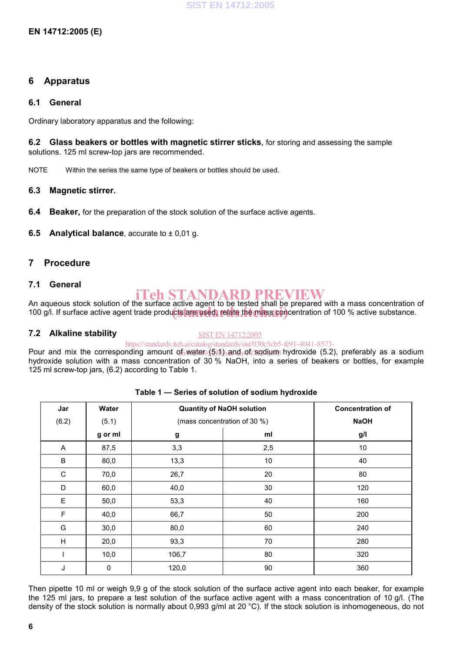### **6 Apparatus**

### **6.1 General**

Ordinary laboratory apparatus and the following:

**6.2 Glass beakers or bottles with magnetic stirrer sticks**, for storing and assessing the sample solutions. 125 ml screw-top jars are recommended.

NOTE Within the series the same type of beakers or bottles should be used.

### **6.3 Magnetic stirrer.**

- **6.4 Beaker,** for the preparation of the stock solution of the surface active agents.
- **6.5 Analytical balance**, accurate to  $\pm$  0,01 g.

### **7 Procedure**

### **7.1 General**

# iTeh STANDARD PREVIEW

An aqueous stock solution of the surface active agent to be tested shall be prepared with a mass concentration of An aquebus stock solution of the surface active agent to be tested shall be prepared with a mass concentration of 100 % active substance.

### **7.2 Alkaline stability**

#### SIST EN 14712:2005

### https://standards.iteh.ai/catalog/standards/sist/030c5cb5-fe91-4041-8573-

Pour and mix the corresponding amount of water (551) and of sodium hydroxide (5.2), preferably as a sodium hydroxide solution with a mass concentration of 30 % NaOH, into a series of beakers or bottles, for example 125 ml screw-top jars, (6.2) according to Table 1.

| Jar         | Water       | <b>Quantity of NaOH solution</b> |                              | <b>Concentration of</b> |
|-------------|-------------|----------------------------------|------------------------------|-------------------------|
| (6.2)       | (5.1)       |                                  | (mass concentration of 30 %) | <b>NaOH</b>             |
|             | g or ml     | g                                | ml                           | g/l                     |
| A           | 87,5        | 3,3                              | 2,5                          | 10                      |
| B           | 80,0        | 13,3                             | $10$                         | 40                      |
| $\mathsf C$ | 70,0        | 26,7                             | 20                           | 80                      |
| D           | 60,0        | 40,0                             | 30                           | 120                     |
| E           | 50,0        | 53,3                             | 40                           | 160                     |
| $\mathsf F$ | 40,0        | 66,7                             | 50                           | 200                     |
| G           | 30,0        | 80,0                             | 60                           | 240                     |
| H           | 20,0        | 93,3                             | 70                           | 280                     |
|             | 10,0        | 106,7                            | 80                           | 320                     |
| J           | $\mathbf 0$ | 120,0                            | 90                           | 360                     |

#### **Table 1 — Series of solution of sodium hydroxide**

Then pipette 10 ml or weigh 9,9 g of the stock solution of the surface active agent into each beaker, for example the 125 ml jars, to prepare a test solution of the surface active agent with a mass concentration of 10 g/l. (The density of the stock solution is normally about 0,993 g/ml at 20 °C). If the stock solution is inhomogeneous, do not